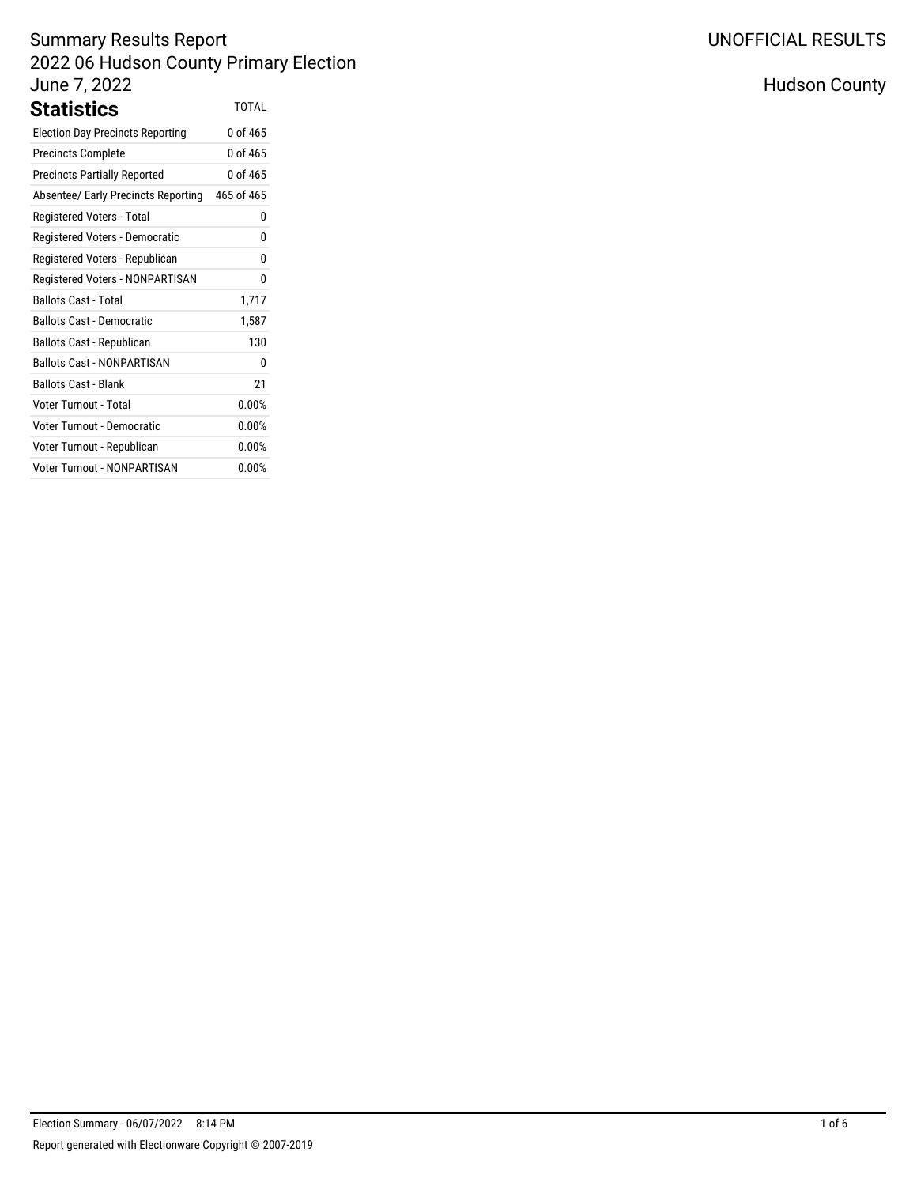### Summary Results Report 2022 06 Hudson County Primary Election June 7, 2022 **Statistics** TOTAL

| əlalistics                              |            |
|-----------------------------------------|------------|
| <b>Election Day Precincts Reporting</b> | 0 of 465   |
| <b>Precincts Complete</b>               | 0 of 465   |
| <b>Precincts Partially Reported</b>     | 0 of 465   |
| Absentee/ Early Precincts Reporting     | 465 of 465 |
| Registered Voters - Total               | 0          |
| Registered Voters - Democratic          | 0          |
| Registered Voters - Republican          | 0          |
| Registered Voters - NONPARTISAN         | 0          |
| <b>Ballots Cast - Total</b>             | 1,717      |
| Ballots Cast - Democratic               | 1,587      |
| Ballots Cast - Republican               | 130        |
| <b>Ballots Cast - NONPARTISAN</b>       | 0          |
| <b>Ballots Cast - Blank</b>             | 21         |
| Voter Turnout - Total                   | 0.00%      |
| <b>Voter Turnout - Democratic</b>       | 0.00%      |
| Voter Turnout - Republican              | 0.00%      |
| Voter Turnout - NONPARTISAN             | 0.00%      |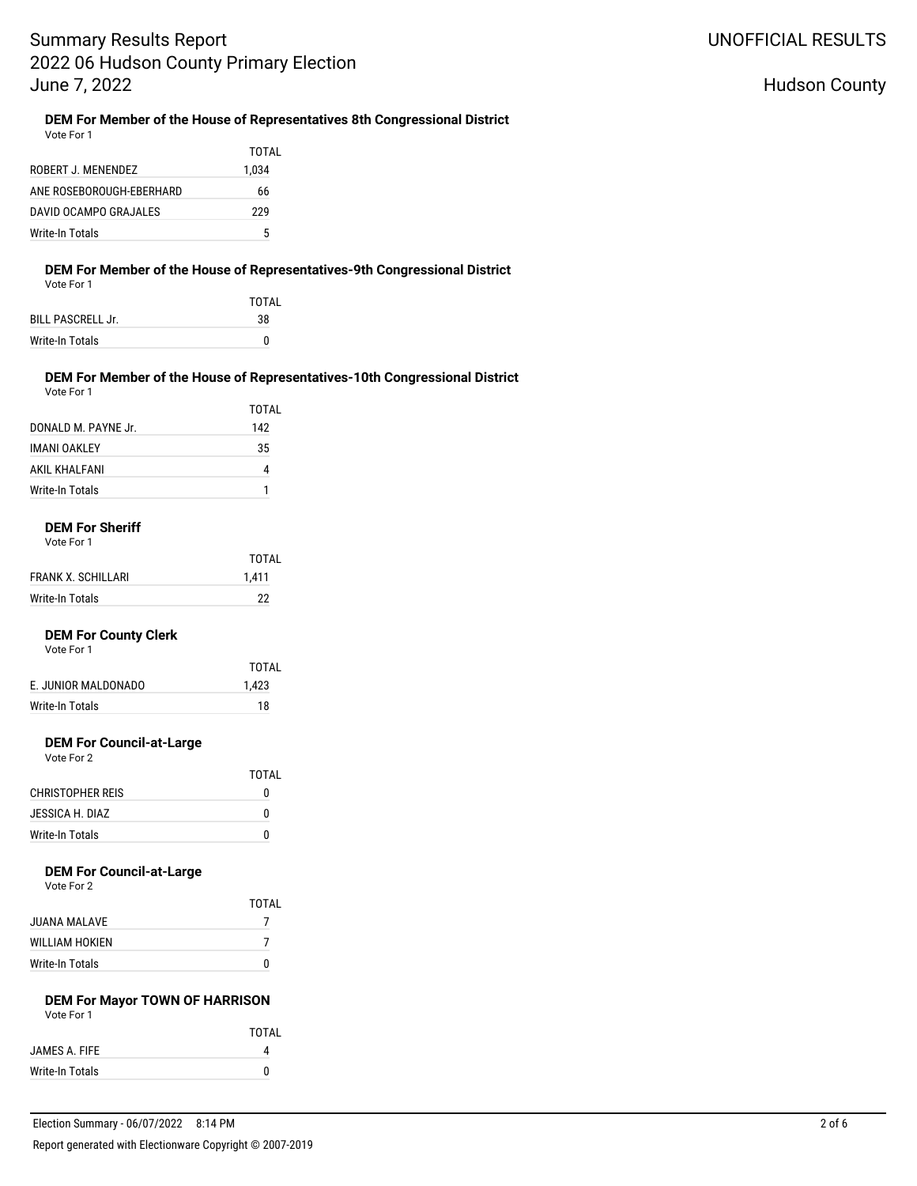#### Hudson County

#### **DEM For Member of the House of Representatives 8th Congressional District**

Vote For 1

|                          | TOTAL |
|--------------------------|-------|
| ROBERT J. MENENDEZ       | 1.034 |
| ANE ROSEBOROUGH-EBERHARD | 66    |
| DAVID OCAMPO GRAJALES    | 229   |
| Write-In Totals          | 5     |

#### **DEM For Member of the House of Representatives-9th Congressional District**

Vote For 1

|                          | TOTAL |
|--------------------------|-------|
| <b>BILL PASCRELL Jr.</b> | 38    |
| Write-In Totals          | n     |

#### **DEM For Member of the House of Representatives-10th Congressional District** Vote For 1

|                     | TOTAL |
|---------------------|-------|
| DONALD M. PAYNE Jr. | 142   |
| <b>IMANI OAKLEY</b> | 35    |
| AKIL KHALFANI       | 4     |
| Write-In Totals     |       |

#### **DEM For Sheriff**

|                    | TOTAL |
|--------------------|-------|
| FRANK X. SCHILLARI | 1,411 |
| Write-In Totals    | 22    |

#### **DEM For County Clerk**

Vote For 1

| TOTAI |
|-------|
| 1,423 |
| 18    |
|       |

#### **DEM For Council-at-Large**

| Vote For 2 |  |
|------------|--|
|------------|--|

|                  | TOTAI |
|------------------|-------|
| CHRISTOPHER REIS | 0     |
| JESSICA H. DIAZ  | O     |
| Write-In Totals  | n     |

# **DEM For Council-at-Large**<br>Vote For 2

|                       | TOTAI |
|-----------------------|-------|
| JUANA MALAVE          |       |
| <b>WILLIAM HOKIEN</b> |       |
| Write-In Totals       | n     |

#### **DEM For Mayor TOWN OF HARRISON** Vote For 1

| VULCIUII        |              |
|-----------------|--------------|
|                 | <b>TOTAL</b> |
| JAMES A. FIFE   |              |
| Write-In Totals | n            |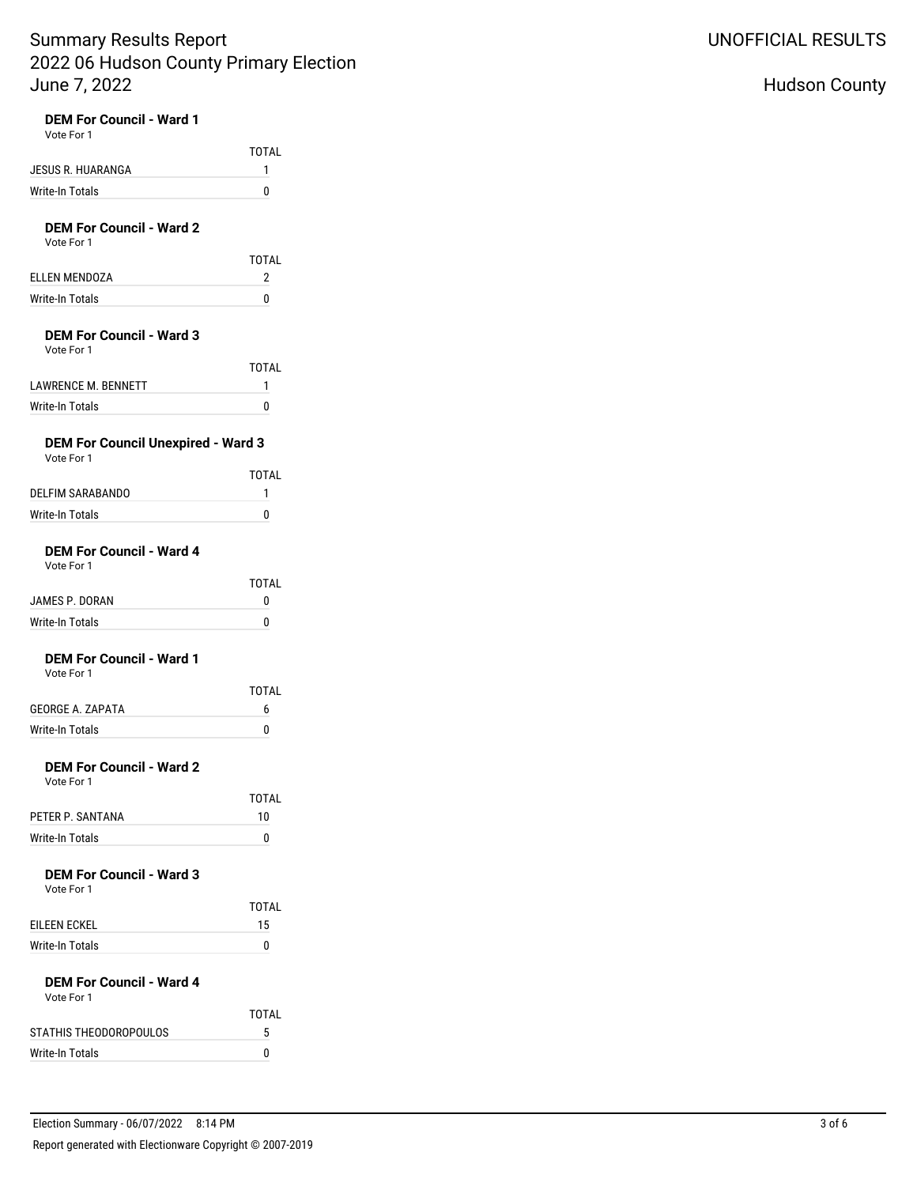| <b>DEM For Council - Ward 1</b><br>Vote For 1           |                   |
|---------------------------------------------------------|-------------------|
|                                                         | <b>TOTAL</b>      |
| JESUS R. HUARANGA                                       | 1                 |
| <b>Write-In Totals</b>                                  | 0                 |
| <b>DEM For Council - Ward 2</b><br>Vote For 1           |                   |
|                                                         | <b>TOTAL</b>      |
| <b>ELLEN MENDOZA</b>                                    | 2                 |
| <b>Write-In Totals</b>                                  | 0                 |
| <b>DEM For Council - Ward 3</b>                         |                   |
| Vote For 1                                              | <b>TOTAL</b>      |
| <b>LAWRENCE M. BENNETT</b>                              | 1                 |
| <b>Write-In Totals</b>                                  | 0                 |
|                                                         |                   |
| <b>DEM For Council Unexpired - Ward 3</b><br>Vote For 1 |                   |
|                                                         | <b>TOTAL</b>      |
| DELFIM SARABANDO                                        | 1                 |
| <b>Write-In Totals</b>                                  | 0                 |
| <b>DEM For Council - Ward 4</b><br>Vote For 1           |                   |
| JAMES P. DORAN                                          | <b>TOTAL</b><br>0 |
| <b>Write-In Totals</b>                                  | 0                 |
|                                                         |                   |
| <b>DEM For Council - Ward 1</b><br>Vote For 1           |                   |
|                                                         | <b>TOTAL</b>      |
| <b>GEORGE A. ZAPATA</b>                                 | 6                 |
| <b>Write-In Totals</b>                                  | 0                 |
| <b>DEM For Council - Ward 2</b><br>Vote For 1           |                   |
|                                                         | TOTAL             |
| PETER P. SANTANA                                        | 10                |
| Write-In Totals                                         | 0                 |
|                                                         |                   |
| <b>DEM For Council - Ward 3</b><br>Vote For 1           |                   |
|                                                         | TOTAL             |
| EILEEN ECKEL                                            | 15                |
| Write-In Totals                                         | 0                 |
| <b>DEM For Council - Ward 4</b><br>Vote For 1           |                   |
|                                                         |                   |
|                                                         | TOTAL             |

# UNOFFICIAL RESULTS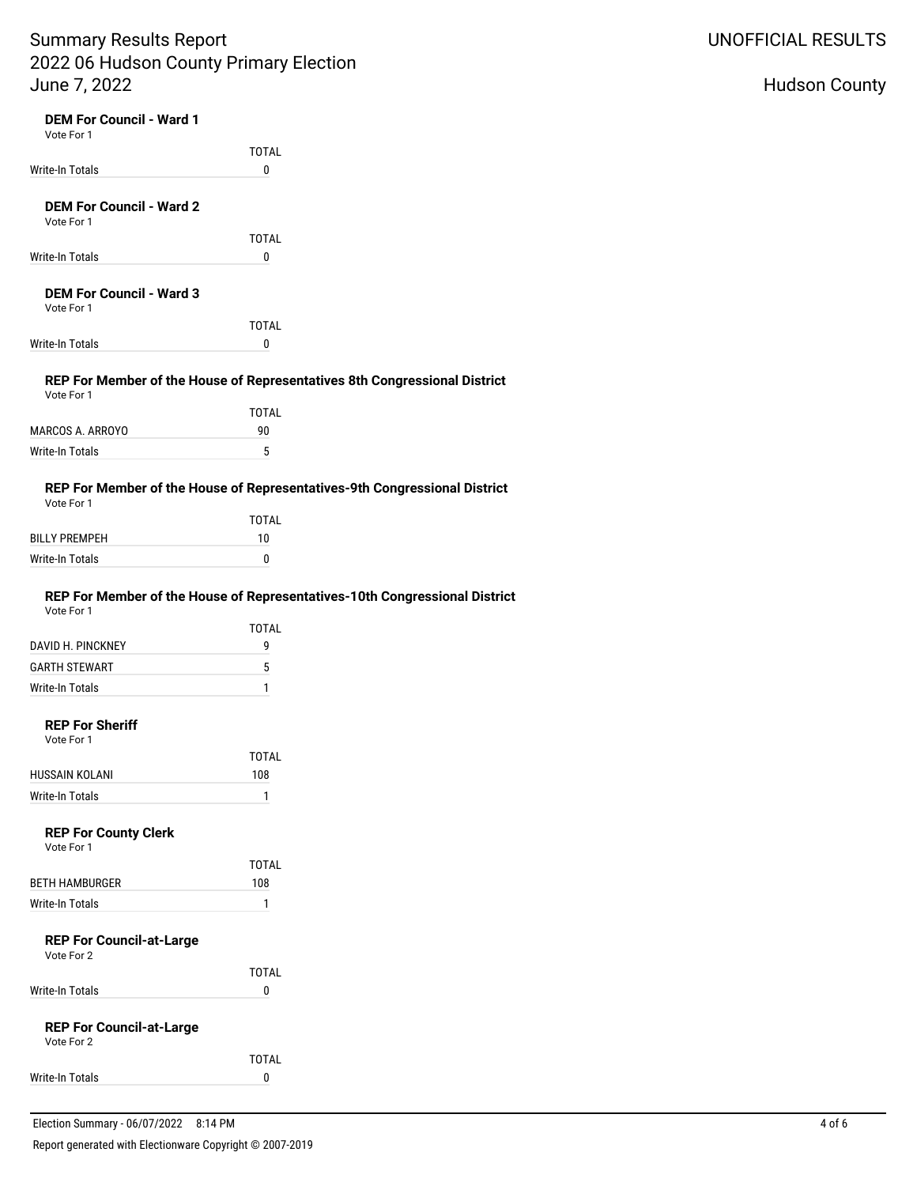| <b>DEM For Council - Ward 1</b><br>Vote For 1                                            |              |  |
|------------------------------------------------------------------------------------------|--------------|--|
|                                                                                          | <b>TOTAL</b> |  |
| <b>Write-In Totals</b>                                                                   | 0            |  |
|                                                                                          |              |  |
| <b>DEM For Council - Ward 2</b><br>Vote For 1                                            |              |  |
|                                                                                          | <b>TOTAL</b> |  |
| Write-In Totals                                                                          | 0            |  |
| <b>DEM For Council - Ward 3</b><br>Vote For 1                                            | <b>TOTAL</b> |  |
| Write-In Totals                                                                          | 0            |  |
|                                                                                          |              |  |
| REP For Member of the House of Representatives 8th Congressional District<br>Vote For 1  |              |  |
|                                                                                          | <b>TOTAL</b> |  |
| MARCOS A. ARROYO                                                                         | 90           |  |
| Write-In Totals                                                                          | 5            |  |
| REP For Member of the House of Representatives-9th Congressional District<br>Vote For 1  |              |  |
|                                                                                          | <b>TOTAL</b> |  |
| <b>BILLY PREMPEH</b>                                                                     | 10           |  |
| Write-In Totals                                                                          | 0            |  |
| REP For Member of the House of Representatives-10th Congressional District<br>Vote For 1 |              |  |
|                                                                                          | <b>TOTAL</b> |  |
| DAVID H. PINCKNEY                                                                        | 9            |  |
| <b>GARTH STEWART</b>                                                                     | 5            |  |
| Write-In Totals                                                                          | 1            |  |
| <b>REP For Sheriff</b><br>Vote For 1                                                     |              |  |
|                                                                                          | TOTAL        |  |
| HUSSAIN KOLANI                                                                           | 108          |  |
| Write-In Totals                                                                          | 1            |  |
| <b>REP For County Clerk</b><br>Vote For 1                                                |              |  |
|                                                                                          | <b>TOTAL</b> |  |
| <b>BETH HAMBURGER</b>                                                                    | 108          |  |
| <b>Write-In Totals</b>                                                                   | 1            |  |
| <b>REP For Council-at-Large</b><br>Vote For 2                                            |              |  |
|                                                                                          | <b>TOTAL</b> |  |
| Write-In Totals                                                                          | 0            |  |
| <b>REP For Council-at-Large</b><br>Vote For 2                                            |              |  |
|                                                                                          | <b>TOTAL</b> |  |
| Write-In Totals                                                                          | 0            |  |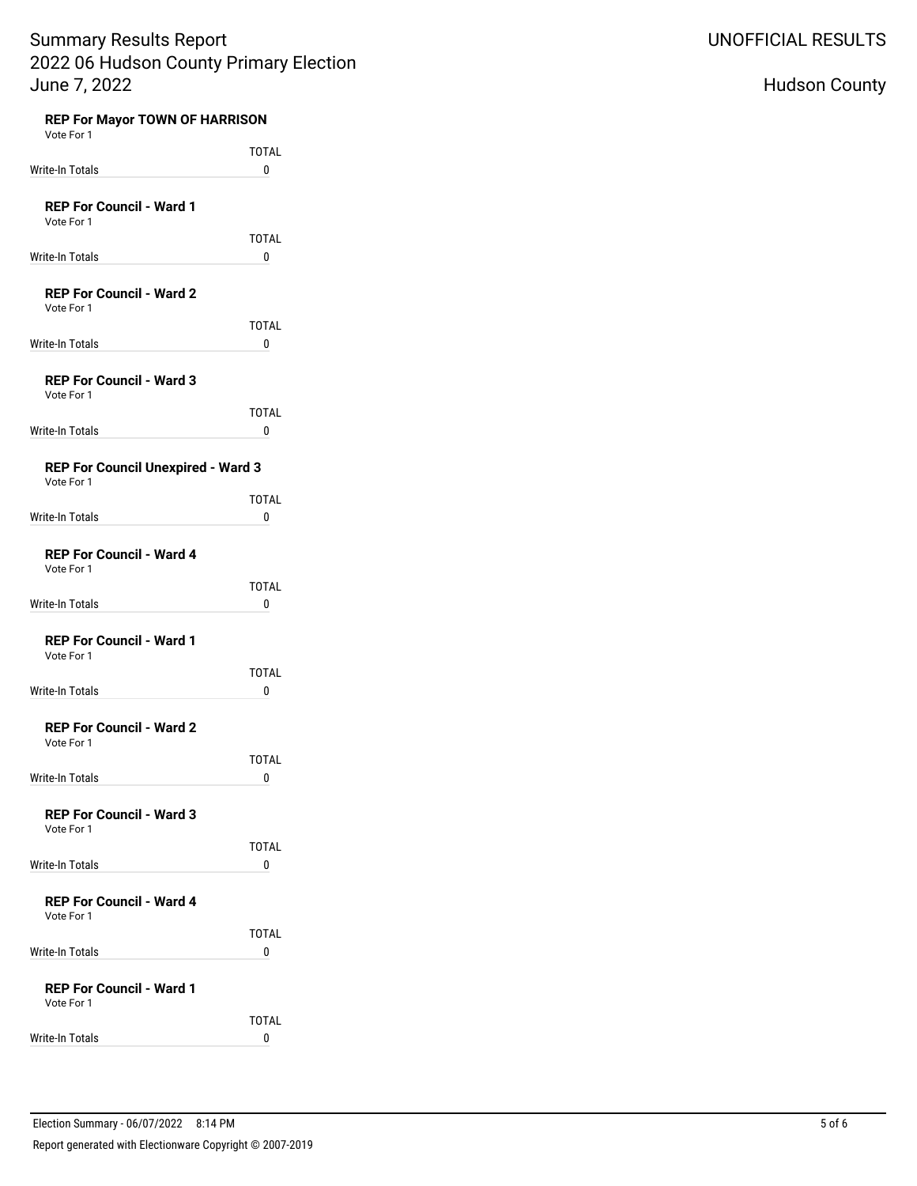| <b>REP For Mayor TOWN OF HARRISON</b><br>Vote For 1 |                              |
|-----------------------------------------------------|------------------------------|
|                                                     | <b>TOTAL</b>                 |
| Write-In Totals                                     | 0                            |
| <b>REP For Council - Ward 1</b><br>Vote For 1       |                              |
| Write-In Totals                                     | <b>TOTAL</b><br>0            |
| <b>REP For Council - Ward 2</b><br>Vote For 1       |                              |
| Write-In Totals                                     | <b>TOTAL</b><br>0            |
| <b>REP For Council - Ward 3</b><br>Vote For 1       |                              |
| Write-In Totals                                     | <b>TOTAL</b><br>0            |
| REP For Council Unexpired - Ward 3<br>Vote For 1    |                              |
| Write-In Totals                                     | <b>TOTAL</b><br>0            |
| <b>REP For Council - Ward 4</b><br>Vote For 1       |                              |
| Write-In Totals                                     | <b>TOTAL</b><br>0            |
| <b>REP For Council - Ward 1</b><br>Vote For 1       |                              |
| Write-In Totals                                     | <b>TOTAL</b><br>0            |
| <b>REP For Council - Ward 2</b><br>Vote For 1       |                              |
| Write-In Totals                                     | <b>TOTAL</b><br>$\mathbf{0}$ |
| <b>REP For Council - Ward 3</b><br>Vote For 1       |                              |
| Write-In Totals                                     | TOTAL<br>0                   |
| <b>REP For Council - Ward 4</b><br>Vote For 1       |                              |
| <b>Write-In Totals</b>                              | TOTAL<br>0                   |
| <b>REP For Council - Ward 1</b><br>Vote For 1       |                              |
| Write-In Totals                                     | TOTAL<br>0                   |